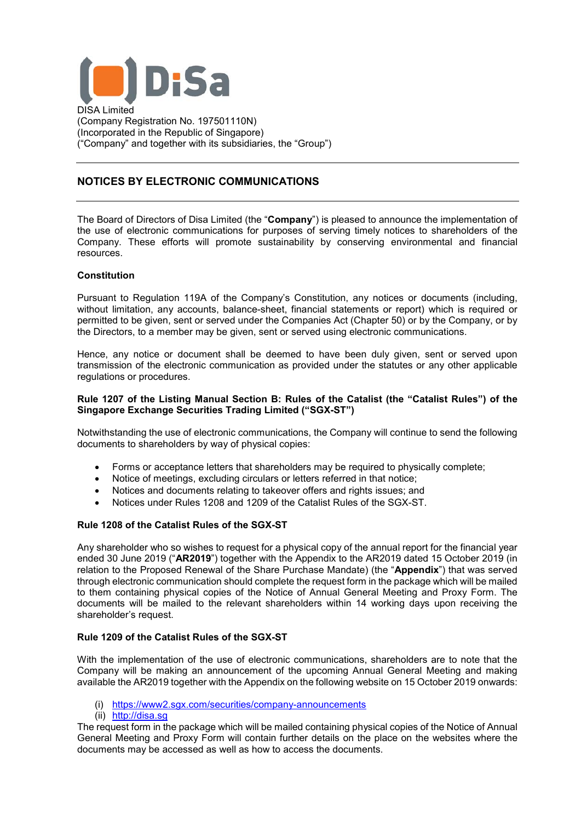

(Company Registration No. 197501110N) (Incorporated in the Republic of Singapore) ("Company" and together with its subsidiaries, the "Group")

# **NOTICES BY ELECTRONIC COMMUNICATIONS**

The Board of Directors of Disa Limited (the "**Company**") is pleased to announce the implementation of the use of electronic communications for purposes of serving timely notices to shareholders of the Company. These efforts will promote sustainability by conserving environmental and financial resources.

## **Constitution**

Pursuant to Regulation 119A of the Company's Constitution, any notices or documents (including, without limitation, any accounts, balance-sheet, financial statements or report) which is required or permitted to be given, sent or served under the Companies Act (Chapter 50) or by the Company, or by the Directors, to a member may be given, sent or served using electronic communications.

Hence, any notice or document shall be deemed to have been duly given, sent or served upon transmission of the electronic communication as provided under the statutes or any other applicable regulations or procedures.

## **Rule 1207 of the Listing Manual Section B: Rules of the Catalist (the "Catalist Rules") of the Singapore Exchange Securities Trading Limited ("SGX-ST")**

Notwithstanding the use of electronic communications, the Company will continue to send the following documents to shareholders by way of physical copies:

- Forms or acceptance letters that shareholders may be required to physically complete:
- Notice of meetings, excluding circulars or letters referred in that notice;
- Notices and documents relating to takeover offers and rights issues; and
- Notices under Rules 1208 and 1209 of the Catalist Rules of the SGX-ST.

## **Rule 1208 of the Catalist Rules of the SGX-ST**

Any shareholder who so wishes to request for a physical copy of the annual report for the financial year ended 30 June 2019 ("**AR2019**") together with the Appendix to the AR2019 dated 15 October 2019 (in relation to the Proposed Renewal of the Share Purchase Mandate) (the "**Appendix**") that was served through electronic communication should complete the request form in the package which will be mailed to them containing physical copies of the Notice of Annual General Meeting and Proxy Form. The documents will be mailed to the relevant shareholders within 14 working days upon receiving the shareholder's request.

## **Rule 1209 of the Catalist Rules of the SGX-ST**

With the implementation of the use of electronic communications, shareholders are to note that the Company will be making an announcement of the upcoming Annual General Meeting and making available the AR2019 together with the Appendix on the following website on 15 October 2019 onwards:

- (i) <https://www2.sgx.com/securities/company-announcements>
- (ii) [http://disa.sg](http://disa.sg/)

The request form in the package which will be mailed containing physical copies of the Notice of Annual General Meeting and Proxy Form will contain further details on the place on the websites where the documents may be accessed as well as how to access the documents.